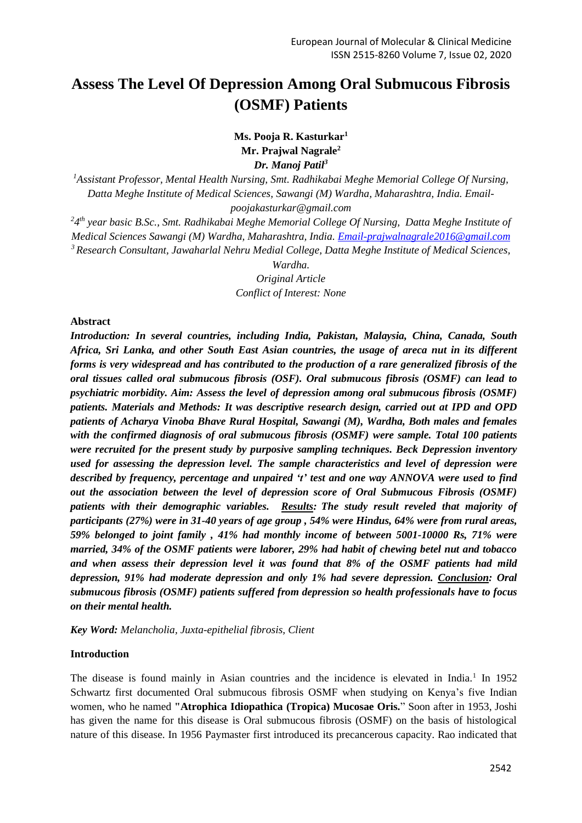# **Assess The Level Of Depression Among Oral Submucous Fibrosis (OSMF) Patients**

# **Ms. Pooja R. Kasturkar<sup>1</sup> Mr. Prajwal Nagrale<sup>2</sup>** *Dr. Manoj Patil<sup>3</sup>*

*<sup>1</sup>Assistant Professor, Mental Health Nursing, Smt. Radhikabai Meghe Memorial College Of Nursing, Datta Meghe Institute of Medical Sciences, Sawangi (M) Wardha, Maharashtra, India. Emailpoojakasturkar@gmail.com*

*2 4 th year basic B.Sc., Smt. Radhikabai Meghe Memorial College Of Nursing, Datta Meghe Institute of Medical Sciences Sawangi (M) Wardha, Maharashtra, India. [Email-prajwalnagrale2016@gmail.com](mailto:Email-prajwalnagrale2016@gmail.com) <sup>3</sup>Research Consultant, Jawaharlal Nehru Medial College, Datta Meghe Institute of Medical Sciences,* 

*Wardha.*

*Original Article*

*Conflict of Interest: None*

#### **Abstract**

*Introduction: In several countries, including India, Pakistan, Malaysia, China, Canada, South Africa, Sri Lanka, and other South East Asian countries, the usage of areca nut in its different forms is very widespread and has contributed to the production of a rare generalized fibrosis of the oral tissues called oral submucous fibrosis (OSF). Oral submucous fibrosis (OSMF) can lead to psychiatric morbidity. Aim: Assess the level of depression among oral submucous fibrosis (OSMF) patients. Materials and Methods: It was descriptive research design, carried out at IPD and OPD patients of Acharya Vinoba Bhave Rural Hospital, Sawangi (M), Wardha, Both males and females with the confirmed diagnosis of oral submucous fibrosis (OSMF) were sample. Total 100 patients were recruited for the present study by purposive sampling techniques. Beck Depression inventory used for assessing the depression level. The sample characteristics and level of depression were described by frequency, percentage and unpaired 't' test and one way ANNOVA were used to find out the association between the level of depression score of Oral Submucous Fibrosis (OSMF) patients with their demographic variables. Results: The study result reveled that majority of participants (27%) were in 31-40 years of age group , 54% were Hindus, 64% were from rural areas, 59% belonged to joint family , 41% had monthly income of between 5001-10000 Rs, 71% were married, 34% of the OSMF patients were laborer, 29% had habit of chewing betel nut and tobacco and when assess their depression level it was found that 8% of the OSMF patients had mild depression, 91% had moderate depression and only 1% had severe depression. Conclusion: Oral submucous fibrosis (OSMF) patients suffered from depression so health professionals have to focus on their mental health.*

*Key Word: Melancholia, Juxta-epithelial fibrosis, Client*

## **Introduction**

The disease is found mainly in Asian countries and the incidence is elevated in India.<sup>1</sup> In 1952 Schwartz first documented Oral submucous fibrosis OSMF when studying on Kenya's five Indian women, who he named **"Atrophica Idiopathica (Tropica) Mucosae Oris.**" Soon after in 1953, Joshi has given the name for this disease is Oral submucous fibrosis (OSMF) on the basis of histological nature of this disease. In 1956 Paymaster first introduced its precancerous capacity. Rao indicated that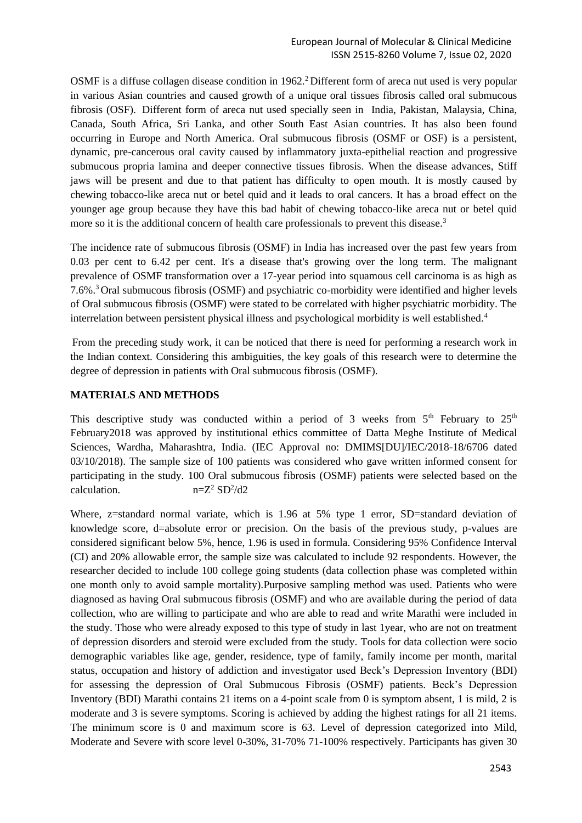OSMF is a diffuse collagen disease condition in 1962.<sup>2</sup>Different form of areca nut used is very popular in various Asian countries and caused growth of a unique oral tissues fibrosis called oral submucous fibrosis (OSF). Different form of areca nut used specially seen in India, Pakistan, Malaysia, China, Canada, South Africa, Sri Lanka, and other South East Asian countries. It has also been found occurring in Europe and North America. Oral submucous fibrosis (OSMF or OSF) is a persistent, dynamic, pre-cancerous oral cavity caused by inflammatory juxta-epithelial reaction and progressive submucous propria lamina and deeper connective tissues fibrosis. When the disease advances, Stiff jaws will be present and due to that patient has difficulty to open mouth. It is mostly caused by chewing tobacco-like areca nut or betel quid and it leads to oral cancers. It has a broad effect on the younger age group because they have this bad habit of chewing tobacco-like areca nut or betel quid more so it is the additional concern of health care professionals to prevent this disease.<sup>3</sup>

The incidence rate of submucous fibrosis (OSMF) in India has increased over the past few years from 0.03 per cent to 6.42 per cent. It's a disease that's growing over the long term. The malignant prevalence of OSMF transformation over a 17-year period into squamous cell carcinoma is as high as 7.6%. <sup>3</sup> Oral submucous fibrosis (OSMF) and psychiatric co-morbidity were identified and higher levels of Oral submucous fibrosis (OSMF) were stated to be correlated with higher psychiatric morbidity. The interrelation between persistent physical illness and psychological morbidity is well established.<sup>4</sup>

From the preceding study work, it can be noticed that there is need for performing a research work in the Indian context. Considering this ambiguities, the key goals of this research were to determine the degree of depression in patients with Oral submucous fibrosis (OSMF).

# **MATERIALS AND METHODS**

This descriptive study was conducted within a period of 3 weeks from  $5<sup>th</sup>$  February to  $25<sup>th</sup>$ February2018 was approved by institutional ethics committee of Datta Meghe Institute of Medical Sciences, Wardha, Maharashtra, India. (IEC Approval no: DMIMS[DU]/IEC/2018-18/6706 dated 03/10/2018). The sample size of 100 patients was considered who gave written informed consent for participating in the study. 100 Oral submucous fibrosis (OSMF) patients were selected based on the calculation.  $n = Z^2 SD^2/d2$ 

Where, z=standard normal variate, which is 1.96 at 5% type 1 error, SD=standard deviation of knowledge score, d=absolute error or precision. On the basis of the previous study, p-values are considered significant below 5%, hence, 1.96 is used in formula. Considering 95% Confidence Interval (CI) and 20% allowable error, the sample size was calculated to include 92 respondents. However, the researcher decided to include 100 college going students (data collection phase was completed within one month only to avoid sample mortality).Purposive sampling method was used. Patients who were diagnosed as having Oral submucous fibrosis (OSMF) and who are available during the period of data collection, who are willing to participate and who are able to read and write Marathi were included in the study. Those who were already exposed to this type of study in last 1year, who are not on treatment of depression disorders and steroid were excluded from the study. Tools for data collection were socio demographic variables like age, gender, residence, type of family, family income per month, marital status, occupation and history of addiction and investigator used Beck's Depression Inventory (BDI) for assessing the depression of Oral Submucous Fibrosis (OSMF) patients. Beck's Depression Inventory (BDI) Marathi contains 21 items on a 4-point scale from 0 is symptom absent, 1 is mild, 2 is moderate and 3 is severe symptoms. Scoring is achieved by adding the highest ratings for all 21 items. The minimum score is 0 and maximum score is 63. Level of depression categorized into Mild, Moderate and Severe with score level 0-30%, 31-70% 71-100% respectively. Participants has given 30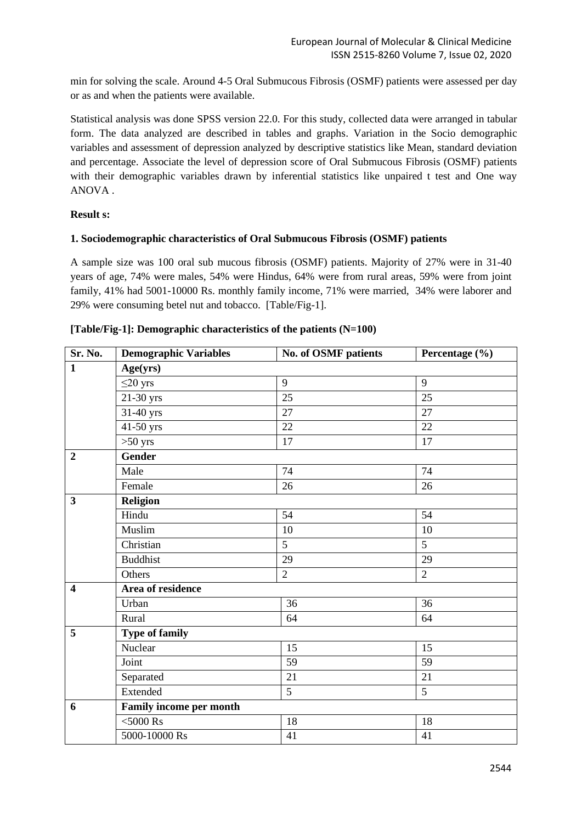min for solving the scale. Around 4-5 Oral Submucous Fibrosis (OSMF) patients were assessed per day or as and when the patients were available.

Statistical analysis was done SPSS version 22.0. For this study, collected data were arranged in tabular form. The data analyzed are described in tables and graphs. Variation in the Socio demographic variables and assessment of depression analyzed by descriptive statistics like Mean, standard deviation and percentage. Associate the level of depression score of Oral Submucous Fibrosis (OSMF) patients with their demographic variables drawn by inferential statistics like unpaired t test and One way ANOVA .

# **Result s:**

## **1. Sociodemographic characteristics of Oral Submucous Fibrosis (OSMF) patients**

A sample size was 100 oral sub mucous fibrosis (OSMF) patients. Majority of 27% were in 31-40 years of age, 74% were males, 54% were Hindus, 64% were from rural areas, 59% were from joint family, 41% had 5001-10000 Rs. monthly family income, 71% were married, 34% were laborer and 29% were consuming betel nut and tobacco. [Table/Fig-1].

| Sr. No.                 | <b>Demographic Variables</b> | No. of OSMF patients | Percentage (%) |  |  |  |  |
|-------------------------|------------------------------|----------------------|----------------|--|--|--|--|
| $\mathbf{1}$            | Age(yrs)                     |                      |                |  |  |  |  |
|                         | $\leq$ 20 yrs                | 9                    | 9              |  |  |  |  |
|                         | 21-30 yrs                    | 25                   | 25             |  |  |  |  |
|                         | 31-40 yrs                    | 27                   | 27             |  |  |  |  |
|                         | 41-50 yrs                    | 22                   | 22             |  |  |  |  |
|                         | $>50$ yrs                    | 17                   | 17             |  |  |  |  |
| $\overline{2}$          | <b>Gender</b>                |                      |                |  |  |  |  |
|                         | Male                         | 74                   | 74             |  |  |  |  |
|                         | Female                       | 26                   | 26             |  |  |  |  |
| $\overline{\mathbf{3}}$ | <b>Religion</b>              |                      |                |  |  |  |  |
|                         | Hindu                        | 54                   | 54             |  |  |  |  |
|                         | Muslim                       | 10                   | 10             |  |  |  |  |
|                         | Christian                    | 5                    | 5              |  |  |  |  |
|                         | <b>Buddhist</b>              | 29                   | 29             |  |  |  |  |
|                         | Others                       | $\overline{2}$       | $\overline{2}$ |  |  |  |  |
| $\overline{\mathbf{4}}$ | Area of residence            |                      |                |  |  |  |  |
|                         | Urban                        | 36                   | 36             |  |  |  |  |
|                         | Rural                        | 64                   | 64             |  |  |  |  |
| 5                       | <b>Type of family</b>        |                      |                |  |  |  |  |
|                         | Nuclear                      | 15                   | 15             |  |  |  |  |
|                         | Joint                        | 59                   | 59             |  |  |  |  |
|                         | Separated                    | 21                   | 21             |  |  |  |  |
|                         | Extended                     | 5                    | 5              |  |  |  |  |
| 6                       | Family income per month      |                      |                |  |  |  |  |
|                         | $<$ 5000 $\rm Rs$            | 18                   | 18             |  |  |  |  |
|                         | 5000-10000 Rs                | 41                   | 41             |  |  |  |  |

## **[Table/Fig-1]: Demographic characteristics of the patients (N=100)**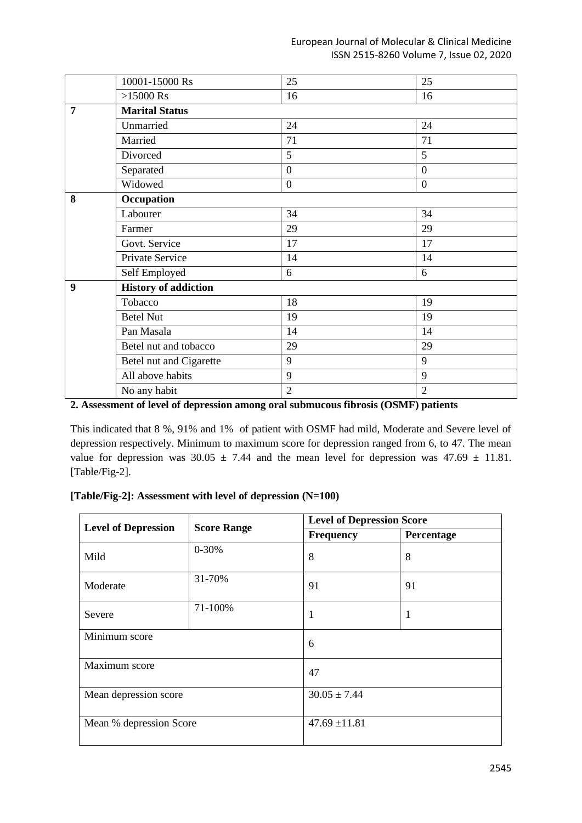## European Journal of Molecular & Clinical Medicine ISSN 2515-8260 Volume 7, Issue 02, 2020

|   | 10001-15000 Rs              | 25               | 25               |
|---|-----------------------------|------------------|------------------|
|   | $>15000$ Rs                 | 16               | 16               |
| 7 | <b>Marital Status</b>       |                  |                  |
|   | Unmarried                   | 24               | 24               |
|   | Married                     | 71               | 71               |
|   | Divorced                    | 5                | 5                |
|   | Separated                   | $\overline{0}$   | $\boldsymbol{0}$ |
|   | Widowed                     | $\boldsymbol{0}$ | $\boldsymbol{0}$ |
| 8 | Occupation                  |                  |                  |
|   | Labourer                    | 34               | 34               |
|   | Farmer                      | 29               | 29               |
|   | Govt. Service               | 17               | 17               |
|   | Private Service             | 14               | 14               |
|   | Self Employed               | 6                | 6                |
| 9 | <b>History of addiction</b> |                  |                  |
|   | Tobacco                     | 18               | 19               |
|   | <b>Betel Nut</b>            | 19               | 19               |
|   | Pan Masala                  | 14               | 14               |
|   | Betel nut and tobacco       | 29               | 29               |
|   | Betel nut and Cigarette     | 9                | 9                |
|   | All above habits            | 9                | 9                |
|   | No any habit                | $\overline{2}$   | 2                |

**2. Assessment of level of depression among oral submucous fibrosis (OSMF) patients** 

This indicated that 8 %, 91% and 1% of patient with OSMF had mild, Moderate and Severe level of depression respectively. Minimum to maximum score for depression ranged from 6, to 47. The mean value for depression was  $30.05 \pm 7.44$  and the mean level for depression was  $47.69 \pm 11.81$ . [Table/Fig-2].

## **[Table/Fig-2]: Assessment with level of depression (N=100)**

|                            |                    | <b>Level of Depression Score</b> |            |  |  |
|----------------------------|--------------------|----------------------------------|------------|--|--|
| <b>Level of Depression</b> | <b>Score Range</b> | <b>Frequency</b>                 | Percentage |  |  |
| Mild                       | $0 - 30%$          | 8                                | 8          |  |  |
| Moderate                   | 31-70%             | 91                               | 91         |  |  |
| Severe                     | 71-100%            | 1                                | 1          |  |  |
| Minimum score              |                    | 6                                |            |  |  |
| Maximum score              |                    | 47                               |            |  |  |
| Mean depression score      |                    | $30.05 \pm 7.44$                 |            |  |  |
| Mean % depression Score    |                    | $47.69 \pm 11.81$                |            |  |  |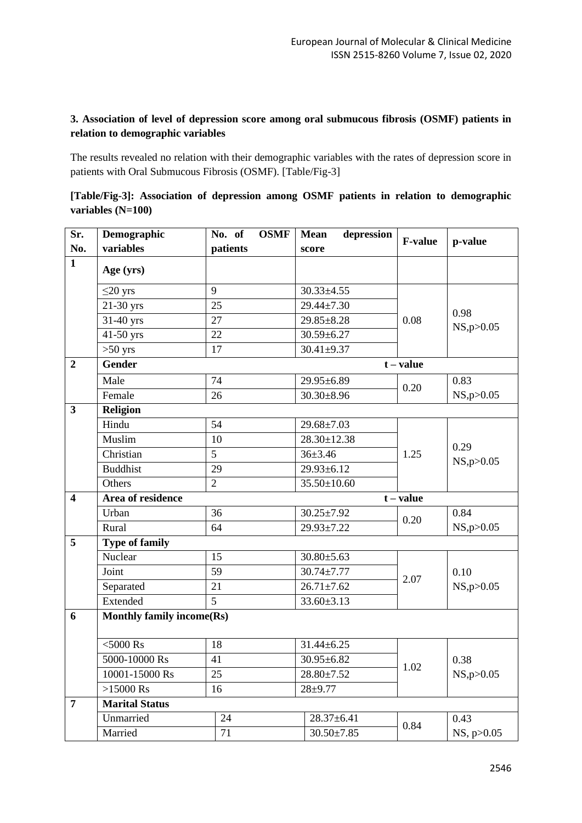# **3. Association of level of depression score among oral submucous fibrosis (OSMF) patients in relation to demographic variables**

The results revealed no relation with their demographic variables with the rates of depression score in patients with Oral Submucous Fibrosis (OSMF). [Table/Fig-3]

| [Table/Fig-3]: Association of depression among OSMF patients in relation to demographic |  |  |  |  |  |
|-----------------------------------------------------------------------------------------|--|--|--|--|--|
| variables $(N=100)$                                                                     |  |  |  |  |  |

| Sr.                     | Demographic                      | <b>OSMF</b><br>No. of | <b>Mean</b><br>depression | <b>F-value</b> |                      |
|-------------------------|----------------------------------|-----------------------|---------------------------|----------------|----------------------|
| No.                     | variables                        | patients              | score                     |                | p-value              |
| $\mathbf{1}$            | Age (yrs)                        |                       |                           |                |                      |
|                         | $\leq$ 20 yrs                    | 9                     | $30.33 \pm 4.55$          |                |                      |
|                         | 21-30 yrs                        | 25                    | 29.44±7.30                |                | 0.98<br>NS, p > 0.05 |
|                         | 31-40 yrs                        | 27                    | 29.85±8.28                | 0.08           |                      |
|                         | $\overline{41-50}$ yrs           | 22                    | $30.59 \pm 6.27$          |                |                      |
|                         | $>50$ yrs                        | 17                    | $30.41 \pm 9.37$          |                |                      |
| $\boldsymbol{2}$        | Gender                           |                       |                           | $t - value$    |                      |
|                         | Male                             | 74                    | 29.95±6.89                |                | 0.83                 |
|                         | Female                           | 26                    | $30.30 \pm 8.96$          | 0.20           | NS, p > 0.05         |
| $\overline{\mathbf{3}}$ | <b>Religion</b>                  |                       |                           |                |                      |
|                         | Hindu                            | 54                    | $29.68 \pm 7.03$          |                |                      |
|                         | Muslim                           | 10                    | 28.30±12.38               |                | 0.29<br>NS, p > 0.05 |
|                         | Christian                        | 5                     | $36 \pm 3.46$             | 1.25           |                      |
|                         | <b>Buddhist</b>                  | 29                    | 29.93±6.12                |                |                      |
|                         | Others                           | $\overline{2}$        | 35.50±10.60               |                |                      |
| $\overline{\mathbf{4}}$ | Area of residence                |                       |                           | $t - value$    |                      |
|                         | Urban                            | 36                    | $30.25 \pm 7.92$          | 0.20           | 0.84                 |
|                         | Rural                            | 64                    | 29.93±7.22                |                | NS, p > 0.05         |
| 5                       | <b>Type of family</b>            |                       |                           |                |                      |
|                         | Nuclear                          | 15                    | $30.80 \pm 5.63$          |                |                      |
|                         | Joint                            | 59                    | $30.74 \pm 7.77$          | 2.07           | 0.10                 |
|                         | Separated                        | 21                    | $26.71 \pm 7.62$          |                | NS, p > 0.05         |
|                         | Extended                         | 5                     | $33.60 \pm 3.13$          |                |                      |
| 6                       | <b>Monthly family income(Rs)</b> |                       |                           |                |                      |
|                         | $<$ 5000 $\rm Rs$                | 18                    | $31.44 \pm 6.25$          |                | 0.38<br>NS, p > 0.05 |
|                         | 5000-10000 Rs                    | 41                    | 30.95±6.82                |                |                      |
|                         | 10001-15000 Rs                   | 25                    | $28.80 \pm 7.52$          | 1.02           |                      |
|                         | $>15000$ Rs                      | 16                    | $28 + 9.77$               |                |                      |
| $\overline{7}$          | <b>Marital Status</b>            |                       |                           |                |                      |
|                         | Unmarried                        | 24                    | $28.37 \pm 6.41$          |                | 0.43                 |
|                         | Married                          | 71                    | $30.50 \pm 7.85$          | 0.84           | NS, p>0.05           |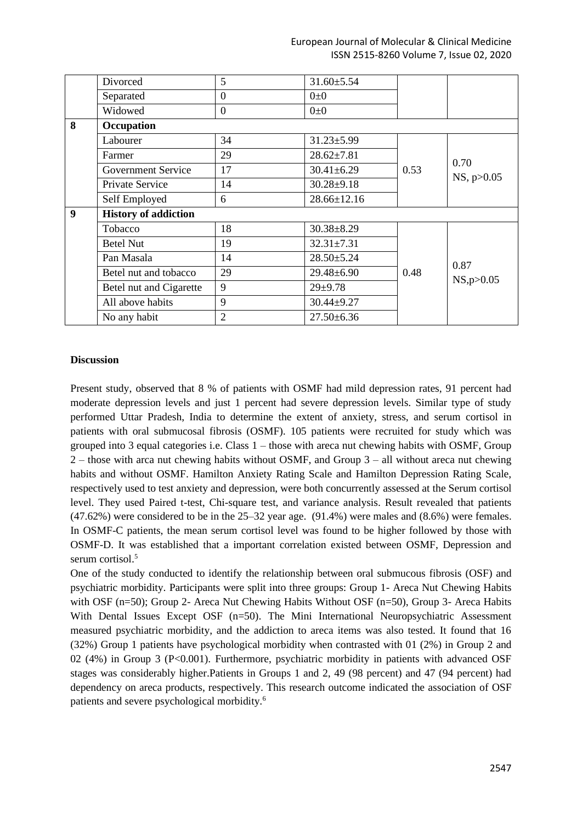|                  | Divorced                    | 5              | $31.60 \pm 5.54$  |      |                      |
|------------------|-----------------------------|----------------|-------------------|------|----------------------|
|                  | Separated                   | $\mathbf{0}$   | $0\pm 0$          |      |                      |
|                  | Widowed                     | $\theta$       | $0\pm 0$          |      |                      |
| 8                | Occupation                  |                |                   |      |                      |
|                  | Labourer                    | 34             | $31.23 \pm 5.99$  |      |                      |
|                  | Farmer                      | 29             | $28.62 \pm 7.81$  | 0.53 | 0.70                 |
|                  | <b>Government Service</b>   | 17             | $30.41 \pm 6.29$  |      |                      |
| Private Service  |                             | 14             | $30.28 + 9.18$    |      | NS, p > 0.05         |
|                  | Self Employed               | 6              | $28.66 \pm 12.16$ |      |                      |
| $\boldsymbol{9}$ | <b>History of addiction</b> |                |                   |      |                      |
|                  | Tobacco                     | 18             | $30.38 + 8.29$    |      |                      |
|                  | <b>Betel Nut</b>            | 19             | $32.31 \pm 7.31$  |      | 0.87<br>NS, p > 0.05 |
|                  | Pan Masala                  | 14             | $28.50 \pm 5.24$  |      |                      |
|                  | Betel nut and tobacco       | 29             | $29.48 \pm 6.90$  | 0.48 |                      |
|                  | Betel nut and Cigarette     | 9              | $29 + 9.78$       |      |                      |
|                  | All above habits            | 9              | $30.44 \pm 9.27$  |      |                      |
|                  | No any habit                | $\overline{2}$ | $27.50\pm 6.36$   |      |                      |

## **Discussion**

Present study, observed that 8 % of patients with OSMF had mild depression rates, 91 percent had moderate depression levels and just 1 percent had severe depression levels. Similar type of study performed Uttar Pradesh, India to determine the extent of anxiety, stress, and serum cortisol in patients with oral submucosal fibrosis (OSMF). 105 patients were recruited for study which was grouped into 3 equal categories i.e. Class 1 – those with areca nut chewing habits with OSMF, Group 2 – those with arca nut chewing habits without OSMF, and Group 3 – all without areca nut chewing habits and without OSMF. Hamilton Anxiety Rating Scale and Hamilton Depression Rating Scale, respectively used to test anxiety and depression, were both concurrently assessed at the Serum cortisol level. They used Paired t-test, Chi-square test, and variance analysis. Result revealed that patients (47.62%) were considered to be in the 25–32 year age. (91.4%) were males and (8.6%) were females. In OSMF-C patients, the mean serum cortisol level was found to be higher followed by those with OSMF-D. It was established that a important correlation existed between OSMF, Depression and serum cortisol.<sup>5</sup>

One of the study conducted to identify the relationship between oral submucous fibrosis (OSF) and psychiatric morbidity. Participants were split into three groups: Group 1- Areca Nut Chewing Habits with OSF (n=50); Group 2- Areca Nut Chewing Habits Without OSF (n=50), Group 3- Areca Habits With Dental Issues Except OSF (n=50). The Mini International Neuropsychiatric Assessment measured psychiatric morbidity, and the addiction to areca items was also tested. It found that 16 (32%) Group 1 patients have psychological morbidity when contrasted with 01 (2%) in Group 2 and 02 (4%) in Group 3 (P<0.001). Furthermore, psychiatric morbidity in patients with advanced OSF stages was considerably higher.Patients in Groups 1 and 2, 49 (98 percent) and 47 (94 percent) had dependency on areca products, respectively. This research outcome indicated the association of OSF patients and severe psychological morbidity.6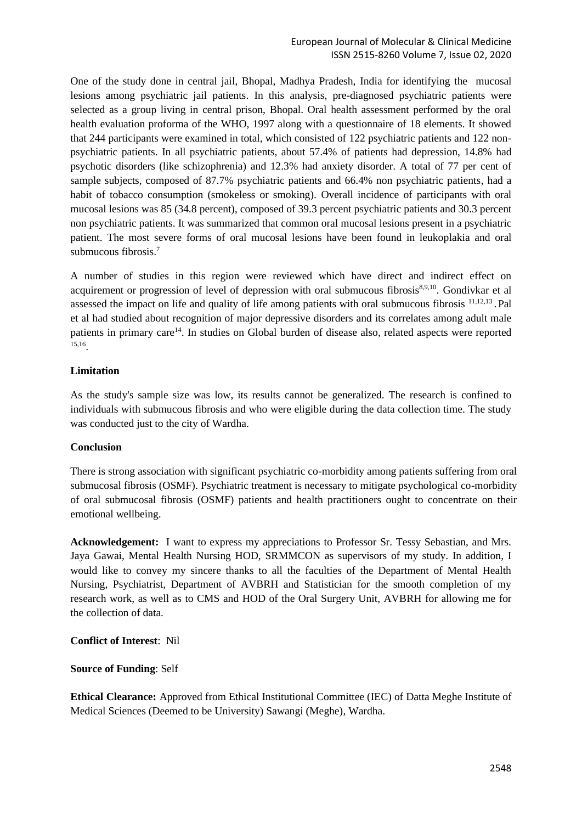One of the study done in central jail, Bhopal, Madhya Pradesh, India for identifying the mucosal lesions among psychiatric jail patients. In this analysis, pre-diagnosed psychiatric patients were selected as a group living in central prison, Bhopal. Oral health assessment performed by the oral health evaluation proforma of the WHO, 1997 along with a questionnaire of 18 elements. It showed that 244 participants were examined in total, which consisted of 122 psychiatric patients and 122 nonpsychiatric patients. In all psychiatric patients, about 57.4% of patients had depression, 14.8% had psychotic disorders (like schizophrenia) and 12.3% had anxiety disorder. A total of 77 per cent of sample subjects, composed of 87.7% psychiatric patients and 66.4% non psychiatric patients, had a habit of tobacco consumption (smokeless or smoking). Overall incidence of participants with oral mucosal lesions was 85 (34.8 percent), composed of 39.3 percent psychiatric patients and 30.3 percent non psychiatric patients. It was summarized that common oral mucosal lesions present in a psychiatric patient. The most severe forms of oral mucosal lesions have been found in leukoplakia and oral submucous fibrosis. 7

A number of studies in this region were reviewed which have direct and indirect effect on acquirement or progression of level of depression with oral submucous fibrosis<sup>8,9,10</sup>. Gondivkar et al assessed the impact on life and quality of life among patients with oral submucous fibrosis <sup>11,12,13</sup>. Pal et al had studied about recognition of major depressive disorders and its correlates among adult male patients in primary care<sup>14</sup>. In studies on Global burden of disease also, related aspects were reported 15,16 .

# **Limitation**

As the study's sample size was low, its results cannot be generalized. The research is confined to individuals with submucous fibrosis and who were eligible during the data collection time. The study was conducted just to the city of Wardha.

## **Conclusion**

There is strong association with significant psychiatric co-morbidity among patients suffering from oral submucosal fibrosis (OSMF). Psychiatric treatment is necessary to mitigate psychological co-morbidity of oral submucosal fibrosis (OSMF) patients and health practitioners ought to concentrate on their emotional wellbeing.

**Acknowledgement:** I want to express my appreciations to Professor Sr. Tessy Sebastian, and Mrs. Jaya Gawai, Mental Health Nursing HOD, SRMMCON as supervisors of my study. In addition, I would like to convey my sincere thanks to all the faculties of the Department of Mental Health Nursing, Psychiatrist, Department of AVBRH and Statistician for the smooth completion of my research work, as well as to CMS and HOD of the Oral Surgery Unit, AVBRH for allowing me for the collection of data.

**Conflict of Interest**: Nil

**Source of Funding**: Self

**Ethical Clearance:** Approved from Ethical Institutional Committee (IEC) of Datta Meghe Institute of Medical Sciences (Deemed to be University) Sawangi (Meghe), Wardha.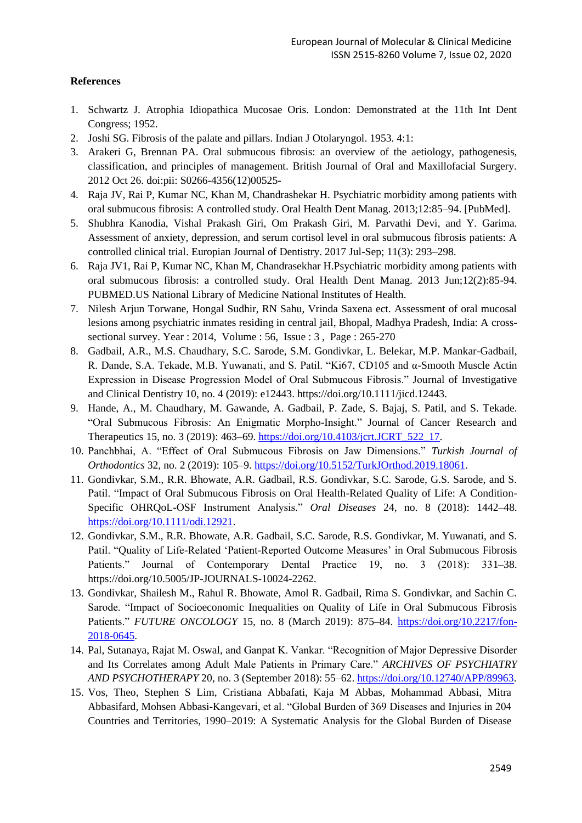## **References**

- 1. Schwartz J. Atrophia Idiopathica Mucosae Oris. London: Demonstrated at the 11th Int Dent Congress; 1952.
- 2. Joshi SG. Fibrosis of the palate and pillars. Indian J Otolaryngol. 1953. 4:1:
- 3. Arakeri G, Brennan PA. Oral submucous fibrosis: an overview of the aetiology, pathogenesis, classification, and principles of management. British Journal of Oral and Maxillofacial Surgery. 2012 Oct 26. doi:pii: S0266-4356(12)00525-
- 4. Raja JV, Rai P, Kumar NC, Khan M, Chandrashekar H. Psychiatric morbidity among patients with oral submucous fibrosis: A controlled study. Oral Health Dent Manag. 2013;12:85–94. [PubMed].
- 5. Shubhra Kanodia, Vishal Prakash Giri, Om Prakash Giri, M. Parvathi Devi, and Y. Garima. Assessment of anxiety, depression, and serum cortisol level in oral submucous fibrosis patients: A controlled clinical trial. Europian Journal of Dentistry. 2017 Jul-Sep; 11(3): 293–298.
- 6. Raja JV1, Rai P, Kumar NC, Khan M, Chandrasekhar H.Psychiatric morbidity among patients with oral submucous fibrosis: a controlled study. Oral Health Dent Manag. 2013 Jun;12(2):85-94. PUBMED.US National Library of Medicine National Institutes of Health.
- 7. Nilesh Arjun Torwane, Hongal Sudhir, RN Sahu, Vrinda Saxena ect. Assessment of oral mucosal lesions among psychiatric inmates residing in central jail, Bhopal, Madhya Pradesh, India: A crosssectional survey. Year : 2014, Volume : 56, Issue : 3 , Page : 265-270
- 8. Gadbail, A.R., M.S. Chaudhary, S.C. Sarode, S.M. Gondivkar, L. Belekar, M.P. Mankar-Gadbail, R. Dande, S.A. Tekade, M.B. Yuwanati, and S. Patil. "Ki67, CD105 and α-Smooth Muscle Actin Expression in Disease Progression Model of Oral Submucous Fibrosis." Journal of Investigative and Clinical Dentistry 10, no. 4 (2019): e12443. https://doi.org/10.1111/jicd.12443.
- 9. Hande, A., M. Chaudhary, M. Gawande, A. Gadbail, P. Zade, S. Bajaj, S. Patil, and S. Tekade. "Oral Submucous Fibrosis: An Enigmatic Morpho-Insight." Journal of Cancer Research and Therapeutics 15, no. 3 (2019): 463–69. [https://doi.org/10.4103/jcrt.JCRT\\_522\\_17.](https://doi.org/10.4103/jcrt.JCRT_522_17)
- 10. Panchbhai, A. "Effect of Oral Submucous Fibrosis on Jaw Dimensions." *Turkish Journal of Orthodontics* 32, no. 2 (2019): 105–9. [https://doi.org/10.5152/TurkJOrthod.2019.18061.](https://doi.org/10.5152/TurkJOrthod.2019.18061)
- 11. Gondivkar, S.M., R.R. Bhowate, A.R. Gadbail, R.S. Gondivkar, S.C. Sarode, G.S. Sarode, and S. Patil. "Impact of Oral Submucous Fibrosis on Oral Health-Related Quality of Life: A Condition-Specific OHRQoL-OSF Instrument Analysis." *Oral Diseases* 24, no. 8 (2018): 1442–48. [https://doi.org/10.1111/odi.12921.](https://doi.org/10.1111/odi.12921)
- 12. Gondivkar, S.M., R.R. Bhowate, A.R. Gadbail, S.C. Sarode, R.S. Gondivkar, M. Yuwanati, and S. Patil. "Quality of Life-Related 'Patient-Reported Outcome Measures' in Oral Submucous Fibrosis Patients." Journal of Contemporary Dental Practice 19, no. 3 (2018): 331-38. https://doi.org/10.5005/JP-JOURNALS-10024-2262.
- 13. Gondivkar, Shailesh M., Rahul R. Bhowate, Amol R. Gadbail, Rima S. Gondivkar, and Sachin C. Sarode. "Impact of Socioeconomic Inequalities on Quality of Life in Oral Submucous Fibrosis Patients." *FUTURE ONCOLOGY* 15, no. 8 (March 2019): 875–84. [https://doi.org/10.2217/fon-](https://doi.org/10.2217/fon-2018-0645)[2018-0645.](https://doi.org/10.2217/fon-2018-0645)
- 14. Pal, Sutanaya, Rajat M. Oswal, and Ganpat K. Vankar. "Recognition of Major Depressive Disorder and Its Correlates among Adult Male Patients in Primary Care." *ARCHIVES OF PSYCHIATRY AND PSYCHOTHERAPY* 20, no. 3 (September 2018): 55–62. [https://doi.org/10.12740/APP/89963.](https://doi.org/10.12740/APP/89963)
- 15. Vos, Theo, Stephen S Lim, Cristiana Abbafati, Kaja M Abbas, Mohammad Abbasi, Mitra Abbasifard, Mohsen Abbasi-Kangevari, et al. "Global Burden of 369 Diseases and Injuries in 204 Countries and Territories, 1990–2019: A Systematic Analysis for the Global Burden of Disease